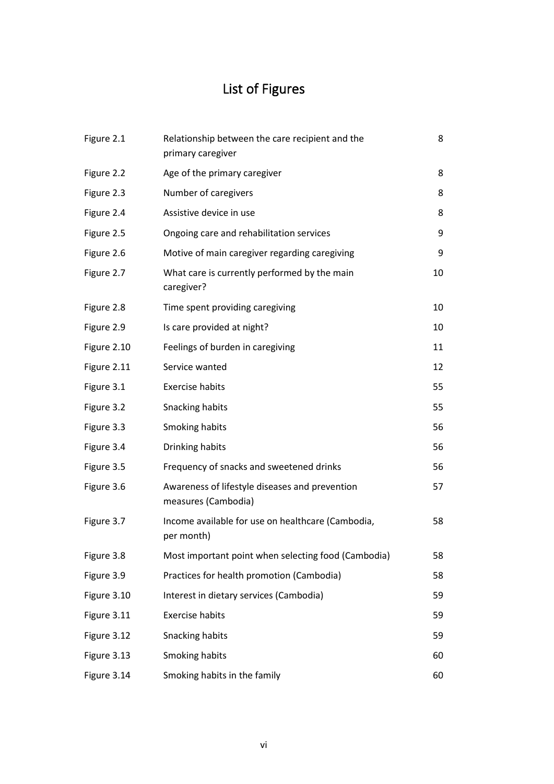## List of Figures

| Figure 2.1  | Relationship between the care recipient and the<br>primary caregiver  | 8  |
|-------------|-----------------------------------------------------------------------|----|
| Figure 2.2  | Age of the primary caregiver                                          | 8  |
| Figure 2.3  | Number of caregivers                                                  | 8  |
| Figure 2.4  | Assistive device in use                                               | 8  |
| Figure 2.5  | Ongoing care and rehabilitation services                              | 9  |
| Figure 2.6  | Motive of main caregiver regarding caregiving                         | 9  |
| Figure 2.7  | What care is currently performed by the main<br>caregiver?            | 10 |
| Figure 2.8  | Time spent providing caregiving                                       | 10 |
| Figure 2.9  | Is care provided at night?                                            | 10 |
| Figure 2.10 | Feelings of burden in caregiving                                      | 11 |
| Figure 2.11 | Service wanted                                                        | 12 |
| Figure 3.1  | <b>Exercise habits</b>                                                | 55 |
| Figure 3.2  | Snacking habits                                                       | 55 |
| Figure 3.3  | Smoking habits                                                        | 56 |
| Figure 3.4  | Drinking habits                                                       | 56 |
| Figure 3.5  | Frequency of snacks and sweetened drinks                              | 56 |
| Figure 3.6  | Awareness of lifestyle diseases and prevention<br>measures (Cambodia) | 57 |
| Figure 3.7  | Income available for use on healthcare (Cambodia,<br>per month)       | 58 |
| Figure 3.8  | Most important point when selecting food (Cambodia)                   | 58 |
| Figure 3.9  | Practices for health promotion (Cambodia)                             | 58 |
| Figure 3.10 | Interest in dietary services (Cambodia)                               | 59 |
| Figure 3.11 | <b>Exercise habits</b>                                                | 59 |
| Figure 3.12 | Snacking habits                                                       | 59 |
| Figure 3.13 | Smoking habits                                                        | 60 |
| Figure 3.14 | Smoking habits in the family                                          | 60 |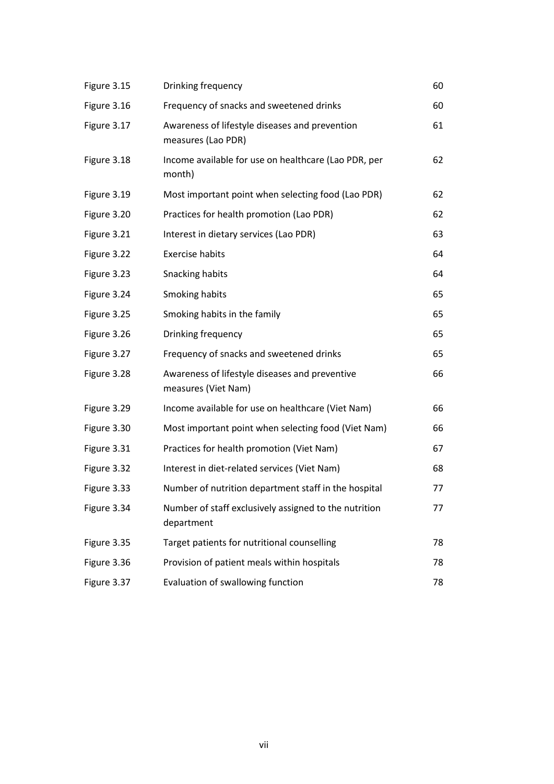| Figure 3.15 | Drinking frequency                                                    | 60 |
|-------------|-----------------------------------------------------------------------|----|
| Figure 3.16 | Frequency of snacks and sweetened drinks                              | 60 |
| Figure 3.17 | Awareness of lifestyle diseases and prevention<br>measures (Lao PDR)  | 61 |
| Figure 3.18 | Income available for use on healthcare (Lao PDR, per<br>month)        | 62 |
| Figure 3.19 | Most important point when selecting food (Lao PDR)                    | 62 |
| Figure 3.20 | Practices for health promotion (Lao PDR)                              | 62 |
| Figure 3.21 | Interest in dietary services (Lao PDR)                                | 63 |
| Figure 3.22 | <b>Exercise habits</b>                                                | 64 |
| Figure 3.23 | Snacking habits                                                       | 64 |
| Figure 3.24 | Smoking habits                                                        | 65 |
| Figure 3.25 | Smoking habits in the family                                          | 65 |
| Figure 3.26 | Drinking frequency                                                    | 65 |
| Figure 3.27 | Frequency of snacks and sweetened drinks                              | 65 |
| Figure 3.28 | Awareness of lifestyle diseases and preventive<br>measures (Viet Nam) | 66 |
| Figure 3.29 | Income available for use on healthcare (Viet Nam)                     | 66 |
| Figure 3.30 | Most important point when selecting food (Viet Nam)                   | 66 |
| Figure 3.31 | Practices for health promotion (Viet Nam)                             | 67 |
| Figure 3.32 | Interest in diet-related services (Viet Nam)                          | 68 |
| Figure 3.33 | Number of nutrition department staff in the hospital                  | 77 |
| Figure 3.34 | Number of staff exclusively assigned to the nutrition<br>department   | 77 |
| Figure 3.35 | Target patients for nutritional counselling                           | 78 |
| Figure 3.36 | Provision of patient meals within hospitals                           | 78 |
| Figure 3.37 | Evaluation of swallowing function                                     | 78 |